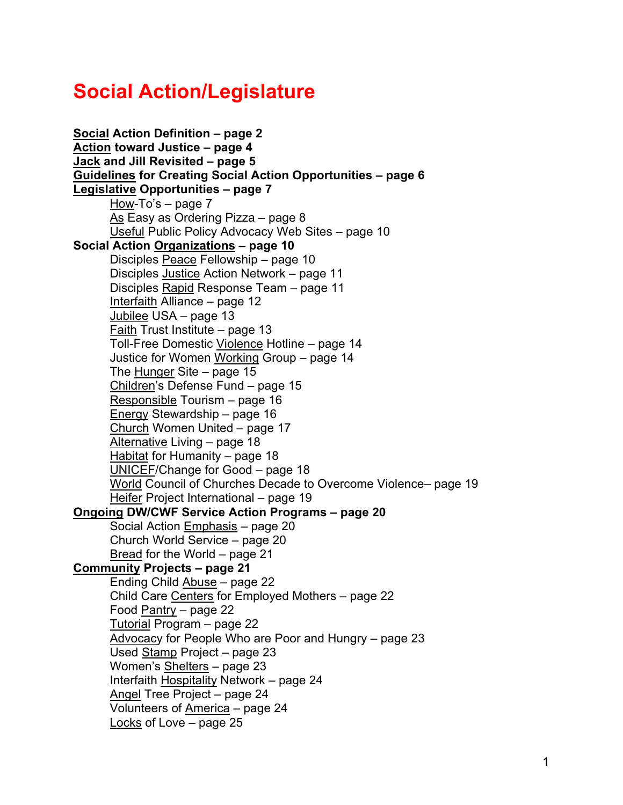# **Social Action/Legislature**

**[Social](#page-1-0) Action Definition – page 2 [Action](#page-3-0) toward Justice – page 4 [Jack](#page-4-0) and Jill Revisited – page 5 [Guidelines](#page-5-0) for Creating Social Action Opportunities – page 6 [Legislative](#page-6-0) Opportunities – page 7**  $\overline{How}$ -To's – page 7 [As](#page-7-0) Easy as Ordering Pizza - page 8 [Useful](#page-9-0) Public Policy Advocacy Web Sites – page 10 **Social Action [Organizations](#page-9-0) – page 10** Disciples [Peace](#page-9-0) Fellowship – page 10 Disciples [Justice](#page-10-0) Action Network – page 11 Disciples [Rapid](#page-10-0) Response Team – page 11 [Interfaith](#page-11-0) Alliance – page 12 [Jubilee](#page-12-0) USA – page 13 [Faith](#page-12-0) Trust Institute – page 13 Toll-Free Domestic [Violence](#page-13-0) Hotline – page 14 Justice for Women [Working](#page-13-0) Group – page 14 The [Hunger](#page-14-0) Site – page 15 [Children's](#page-14-0) Defense Fund – page 15 [Responsible](#page-15-0) Tourism – page 16 [Energy](#page-15-0) Stewardship – page 16 [Church](#page-16-0) Women United – page 17 [Alternative](#page-17-0) Living – page 18 [Habitat](#page-17-0) for Humanity – page 18 [UNICEF/](#page-17-0)Change for Good – page 18 [World](#page-18-0) Council of Churches Decade to Overcome Violence– page 19 [Heifer](#page-18-0) Project International – page 19 **[Ongoing](#page-19-0) DW/CWF Service Action Programs – page 20** Social Action [Emphasis](#page-19-0) – page 20 Church World Service – page 20 [Bread](#page-20-0) for the World – page 21 **[Community](#page-20-0) Projects – page 21** Ending Child [Abuse](#page-21-0) – page 22 Child Care [Centers](#page-21-0) for Employed Mothers - page 22 Food [Pantry](#page-21-0) – page 22 [Tutorial](#page-21-0) Program – page 22 [Advocacy](#page-22-0) for People Who are Poor and Hungry – page 23 Used [Stamp](#page-22-0) Project – page 23 Women's [Shelters](#page-22-0) – page 23 Interfaith [Hospitality](#page-23-0) Network – page 24 [Angel](#page-23-0) Tree Project – page 24 Volunteers of [America](#page-23-0) – page 24 [Locks](#page-24-0) of Love – page 25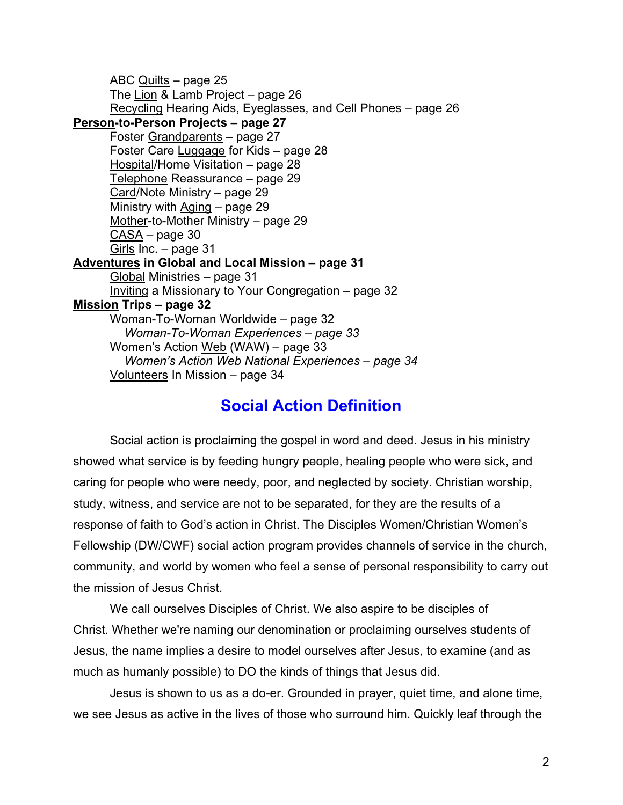<span id="page-1-0"></span>ABC [Quilts](#page-24-0) – page 25 The [Lion](#page-25-0) & Lamb Project – page 26 [Recycling](#page-25-0) Hearing Aids, Eyeglasses, and Cell Phones – page 26 **[Person-t](#page-26-0)o-Person Projects – page 27** Foster [Grandparents](#page-26-0) – page 27 Foster Care [Luggage](#page-27-0) for Kids - page 28 [Hospital/H](#page-27-0)ome Visitation – page 28 [Telephone](#page-28-0) Reassurance – page 29 [Card/](#page-28-0)Note Ministry – page 29 Ministry with [Aging](#page-28-0) – page 29 [Mother-](#page-28-0)to-Mother Ministry – page 29 [CASA](#page-29-0) – page 30 [Girls](#page-30-0) Inc. – page 31 **[Adventures](#page-30-0) in Global and Local Mission – page 31** [Global](#page-30-0) Ministries – page 31 [Inviting](#page-31-0) a Missionary to Your Congregation – page 32 **[Mission](#page-31-0) Trips – page 32** [Woman-](#page-31-0)To-Woman Worldwide – page 32 *Woman-To-Woman Experiences – page 33* Women's Action [Web](#page-32-0) (WAW) – page 33 *Women's Action Web National Experiences – page 34* [Volunteers](#page-33-0) In Mission – page 34

# **Social Action Definition**

Social action is proclaiming the gospel in word and deed. Jesus in his ministry showed what service is by feeding hungry people, healing people who were sick, and caring for people who were needy, poor, and neglected by society. Christian worship, study, witness, and service are not to be separated, for they are the results of a response of faith to God's action in Christ. The Disciples Women/Christian Women's Fellowship (DW/CWF) social action program provides channels of service in the church, community, and world by women who feel a sense of personal responsibility to carry out the mission of Jesus Christ.

We call ourselves Disciples of Christ. We also aspire to be disciples of Christ. Whether we're naming our denomination or proclaiming ourselves students of Jesus, the name implies a desire to model ourselves after Jesus, to examine (and as much as humanly possible) to DO the kinds of things that Jesus did.

Jesus is shown to us as a do-er. Grounded in prayer, quiet time, and alone time, we see Jesus as active in the lives of those who surround him. Quickly leaf through the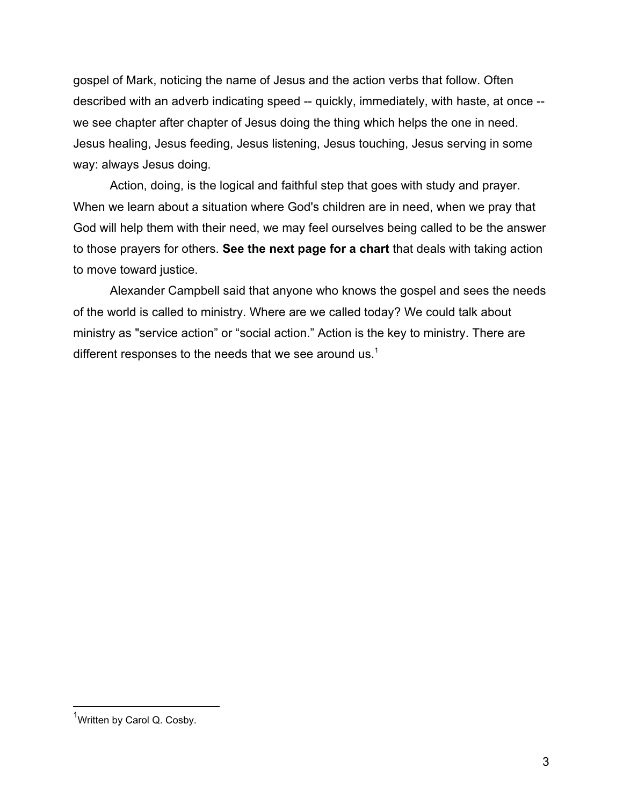gospel of Mark, noticing the name of Jesus and the action verbs that follow. Often described with an adverb indicating speed -- quickly, immediately, with haste, at once - we see chapter after chapter of Jesus doing the thing which helps the one in need. Jesus healing, Jesus feeding, Jesus listening, Jesus touching, Jesus serving in some way: always Jesus doing.

Action, doing, is the logical and faithful step that goes with study and prayer. When we learn about a situation where God's children are in need, when we pray that God will help them with their need, we may feel ourselves being called to be the answer to those prayers for others. **See the next page for a chart** that deals with taking action to move toward justice.

Alexander Campbell said that anyone who knows the gospel and sees the needs of the world is called to ministry. Where are we called today? We could talk about ministry as "service action" or "social action." Action is the key to ministry. There are different responses to the needs that we see around us.<sup>1</sup>

<sup>1&</sup>lt;br><sup>1</sup>Written by Carol Q. Cosby.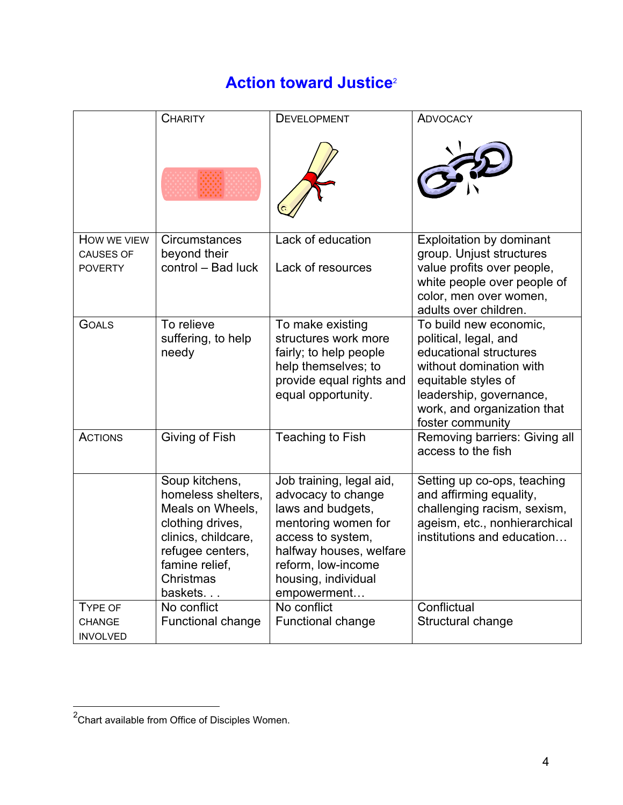# **Action toward Justice**<sup>2</sup>

<span id="page-3-0"></span>

|                                             | <b>CHARITY</b>                                                                                                                                                                   | <b>DEVELOPMENT</b>                                                                                                                                                                                                    | <b>ADVOCACY</b>                                                                                                                                                                                           |
|---------------------------------------------|----------------------------------------------------------------------------------------------------------------------------------------------------------------------------------|-----------------------------------------------------------------------------------------------------------------------------------------------------------------------------------------------------------------------|-----------------------------------------------------------------------------------------------------------------------------------------------------------------------------------------------------------|
|                                             |                                                                                                                                                                                  |                                                                                                                                                                                                                       |                                                                                                                                                                                                           |
| HOW WE VIEW                                 | Circumstances                                                                                                                                                                    | Lack of education                                                                                                                                                                                                     | Exploitation by dominant                                                                                                                                                                                  |
| <b>CAUSES OF</b><br><b>POVERTY</b>          | beyond their<br>control - Bad luck                                                                                                                                               | Lack of resources                                                                                                                                                                                                     | group. Unjust structures<br>value profits over people,<br>white people over people of<br>color, men over women,<br>adults over children.                                                                  |
| <b>GOALS</b>                                | To relieve<br>suffering, to help<br>needy                                                                                                                                        | To make existing<br>structures work more<br>fairly; to help people<br>help themselves; to<br>provide equal rights and<br>equal opportunity.                                                                           | To build new economic,<br>political, legal, and<br>educational structures<br>without domination with<br>equitable styles of<br>leadership, governance,<br>work, and organization that<br>foster community |
| <b>ACTIONS</b>                              | Giving of Fish                                                                                                                                                                   | Teaching to Fish                                                                                                                                                                                                      | Removing barriers: Giving all<br>access to the fish                                                                                                                                                       |
|                                             | Soup kitchens,<br>homeless shelters,<br>Meals on Wheels,<br>clothing drives,<br>clinics, childcare,<br>refugee centers,<br>famine relief,<br>Christmas<br>baskets<br>No conflict | Job training, legal aid,<br>advocacy to change<br>laws and budgets,<br>mentoring women for<br>access to system,<br>halfway houses, welfare<br>reform, low-income<br>housing, individual<br>empowerment<br>No conflict | Setting up co-ops, teaching<br>and affirming equality,<br>challenging racism, sexism,<br>ageism, etc., nonhierarchical<br>institutions and education<br>Conflictual                                       |
| <b>TYPE OF</b><br>CHANGE<br><b>INVOLVED</b> | <b>Functional change</b>                                                                                                                                                         | <b>Functional change</b>                                                                                                                                                                                              | Structural change                                                                                                                                                                                         |

 <sup>2</sup> Chart available from Office of Disciples Women.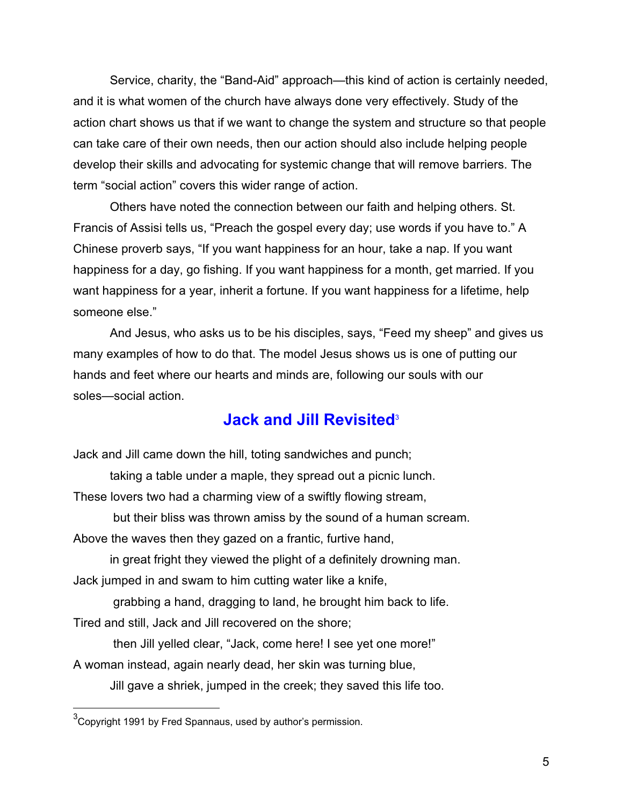<span id="page-4-0"></span>Service, charity, the "Band-Aid" approach—this kind of action is certainly needed, and it is what women of the church have always done very effectively. Study of the action chart shows us that if we want to change the system and structure so that people can take care of their own needs, then our action should also include helping people develop their skills and advocating for systemic change that will remove barriers. The term "social action" covers this wider range of action.

Others have noted the connection between our faith and helping others. St. Francis of Assisi tells us, "Preach the gospel every day; use words if you have to." A Chinese proverb says, "If you want happiness for an hour, take a nap. If you want happiness for a day, go fishing. If you want happiness for a month, get married. If you want happiness for a year, inherit a fortune. If you want happiness for a lifetime, help someone else."

And Jesus, who asks us to be his disciples, says, "Feed my sheep" and gives us many examples of how to do that. The model Jesus shows us is one of putting our hands and feet where our hearts and minds are, following our souls with our soles—social action.

# **Jack and Jill Revisited**<sup>3</sup>

Jack and Jill came down the hill, toting sandwiches and punch;

taking a table under a maple, they spread out a picnic lunch.

These lovers two had a charming view of a swiftly flowing stream,

 but their bliss was thrown amiss by the sound of a human scream. Above the waves then they gazed on a frantic, furtive hand,

 in great fright they viewed the plight of a definitely drowning man. Jack jumped in and swam to him cutting water like a knife,

grabbing a hand, dragging to land, he brought him back to life.

Tired and still, Jack and Jill recovered on the shore;

then Jill yelled clear, "Jack, come here! I see yet one more!"

A woman instead, again nearly dead, her skin was turning blue,

Jill gave a shriek, jumped in the creek; they saved this life too.

 <sup>3</sup> Copyright 1991 by Fred Spannaus, used by author's permission.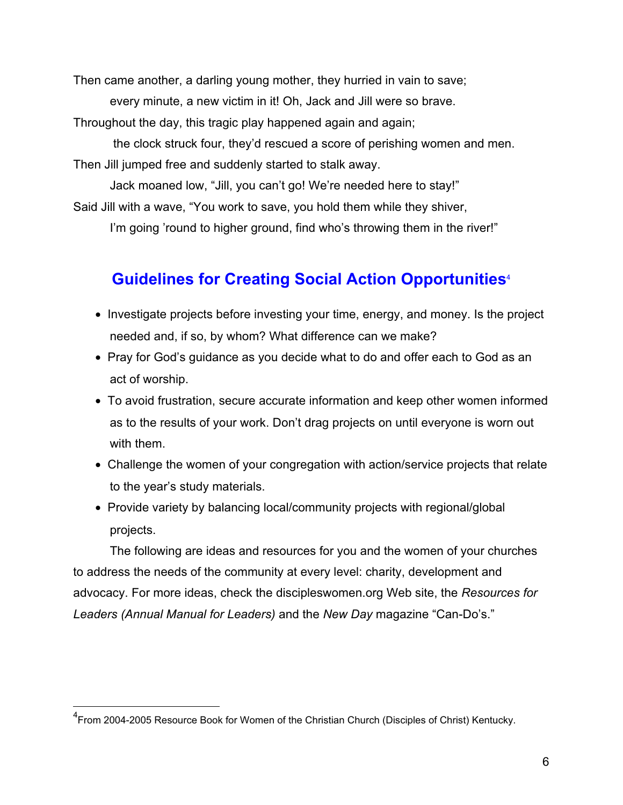<span id="page-5-0"></span>Then came another, a darling young mother, they hurried in vain to save;

every minute, a new victim in it! Oh, Jack and Jill were so brave.

Throughout the day, this tragic play happened again and again;

 the clock struck four, they'd rescued a score of perishing women and men. Then Jill jumped free and suddenly started to stalk away.

Jack moaned low, "Jill, you can't go! We're needed here to stay!"

Said Jill with a wave, "You work to save, you hold them while they shiver,

I'm going 'round to higher ground, find who's throwing them in the river!"

# **Guidelines for Creating Social Action Opportunities**<sup>4</sup>

- Investigate projects before investing your time, energy, and money. Is the project needed and, if so, by whom? What difference can we make?
- Pray for God's guidance as you decide what to do and offer each to God as an act of worship.
- To avoid frustration, secure accurate information and keep other women informed as to the results of your work. Don't drag projects on until everyone is worn out with them.
- Challenge the women of your congregation with action/service projects that relate to the year's study materials.
- Provide variety by balancing local/community projects with regional/global projects.

The following are ideas and resources for you and the women of your churches to address the needs of the community at every level: charity, development and advocacy. For more ideas, check the discipleswomen.org Web site, the *Resources for Leaders (Annual Manual for Leaders)* and the *New Day* magazine "Can-Do's."

 <sup>4</sup> From 2004-2005 Resource Book for Women of the Christian Church (Disciples of Christ) Kentucky.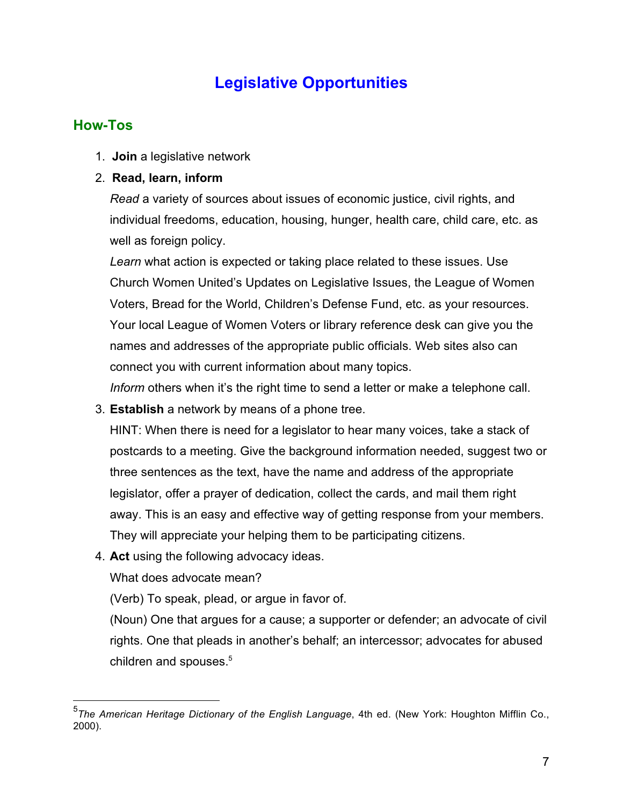# **Legislative Opportunities**

# <span id="page-6-0"></span>**How-Tos**

1. **Join** a legislative network

### 2. **Read, learn, inform**

*Read* a variety of sources about issues of economic justice, civil rights, and individual freedoms, education, housing, hunger, health care, child care, etc. as well as foreign policy.

*Learn* what action is expected or taking place related to these issues. Use Church Women United's Updates on Legislative Issues, the League of Women Voters, Bread for the World, Children's Defense Fund, etc. as your resources. Your local League of Women Voters or library reference desk can give you the names and addresses of the appropriate public officials. Web sites also can connect you with current information about many topics.

*Inform* others when it's the right time to send a letter or make a telephone call.

3. **Establish** a network by means of a phone tree.

HINT: When there is need for a legislator to hear many voices, take a stack of postcards to a meeting. Give the background information needed, suggest two or three sentences as the text, have the name and address of the appropriate legislator, offer a prayer of dedication, collect the cards, and mail them right away. This is an easy and effective way of getting response from your members. They will appreciate your helping them to be participating citizens.

4. **Act** using the following advocacy ideas.

What does advocate mean?

(Verb) To speak, plead, or argue in favor of.

(Noun) One that argues for a cause; a supporter or defender; an advocate of civil rights. One that pleads in another's behalf; an intercessor; advocates for abused children and spouses.<sup>5</sup>

 <sup>5</sup> *The American Heritage Dictionary of the English Language*, 4th ed. (New York: Houghton Mifflin Co., 2000).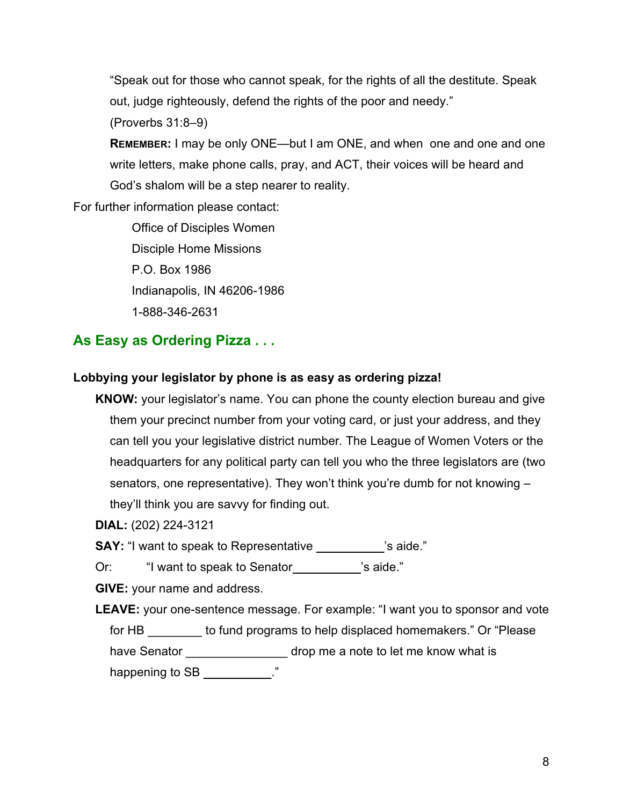<span id="page-7-0"></span>"Speak out for those who cannot speak, for the rights of all the destitute. Speak out, judge righteously, defend the rights of the poor and needy."

(Proverbs 31:8–9)

**REMEMBER:** I may be only ONE—but I am ONE, and when one and one and one write letters, make phone calls, pray, and ACT, their voices will be heard and God's shalom will be a step nearer to reality.

For further information please contact:

Office of Disciples Women Disciple Home Missions P.O. Box 1986 Indianapolis, IN 46206-1986 1-888-346-2631

# **As Easy as Ordering Pizza . . .**

### **Lobbying your legislator by phone is as easy as ordering pizza!**

**KNOW:** your legislator's name. You can phone the county election bureau and give them your precinct number from your voting card, or just your address, and they can tell you your legislative district number. The League of Women Voters or the headquarters for any political party can tell you who the three legislators are (two senators, one representative). They won't think you're dumb for not knowing – they'll think you are savvy for finding out.

**DIAL:** (202) 224-3121

**SAY:** "I want to speak to Representative **SAY:** "I want to speak to Representative

Or: "I want to speak to Senator **business** 's aide."

**GIVE:** your name and address.

**LEAVE:** your one-sentence message. For example: "I want you to sponsor and vote for HB \_\_\_\_\_\_\_\_ to fund programs to help displaced homemakers." Or "Please have Senator \_\_\_\_\_\_\_\_\_\_\_\_\_\_\_\_\_ drop me a note to let me know what is happening to SB \_\_\_\_\_\_\_\_\_\_\_."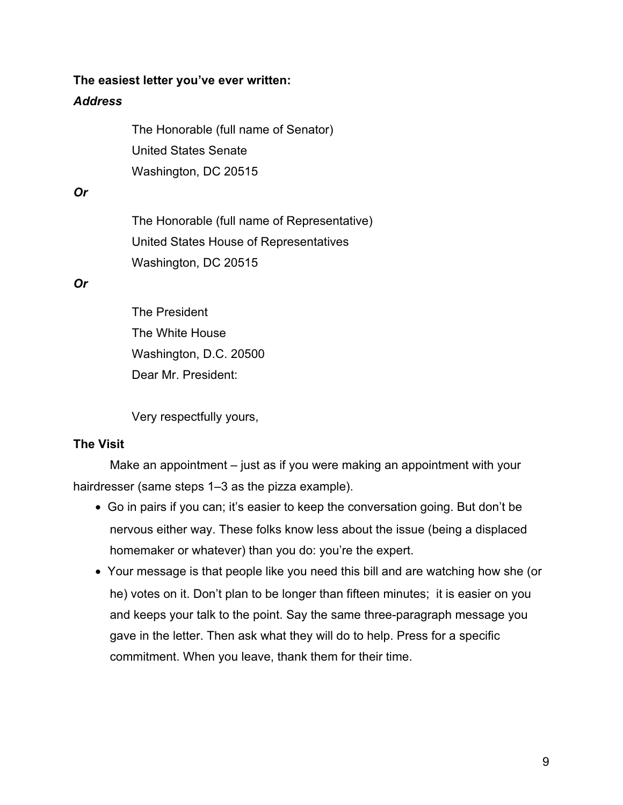#### **The easiest letter you've ever written:**

#### *Address*

The Honorable (full name of Senator) United States Senate Washington, DC 20515

#### *Or*

The Honorable (full name of Representative) United States House of Representatives Washington, DC 20515

*Or*

The President The White House Washington, D.C. 20500 Dear Mr. President:

Very respectfully yours,

#### **The Visit**

Make an appointment – just as if you were making an appointment with your hairdresser (same steps 1–3 as the pizza example).

- Go in pairs if you can; it's easier to keep the conversation going. But don't be nervous either way. These folks know less about the issue (being a displaced homemaker or whatever) than you do: you're the expert.
- Your message is that people like you need this bill and are watching how she (or he) votes on it. Don't plan to be longer than fifteen minutes; it is easier on you and keeps your talk to the point. Say the same three-paragraph message you gave in the letter. Then ask what they will do to help. Press for a specific commitment. When you leave, thank them for their time.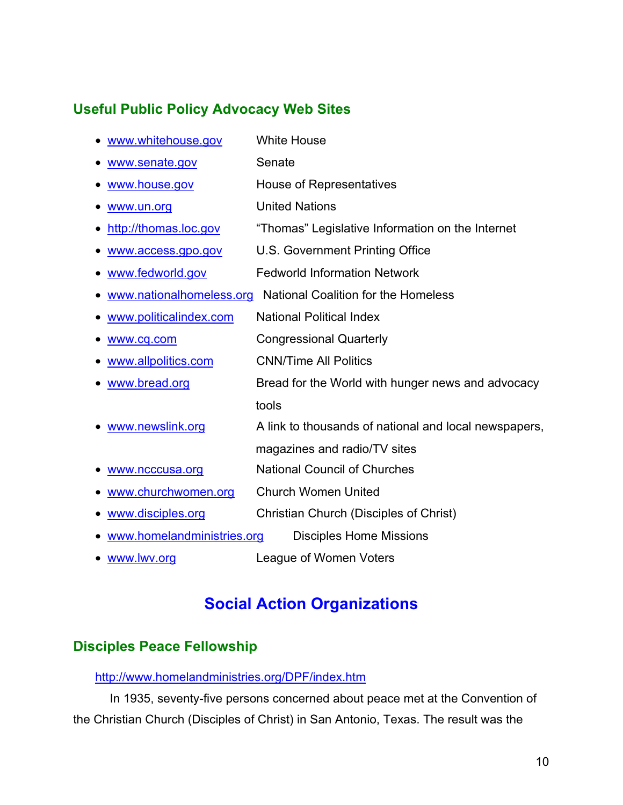# <span id="page-9-0"></span>**Useful Public Policy Advocacy Web Sites**

| www.whitehouse.gov                                                     | <b>White House</b>                                    |  |  |  |
|------------------------------------------------------------------------|-------------------------------------------------------|--|--|--|
| www.senate.gov                                                         | Senate                                                |  |  |  |
| www.house.gov                                                          | House of Representatives                              |  |  |  |
| www.un.org                                                             | <b>United Nations</b>                                 |  |  |  |
| http://thomas.loc.gov                                                  | "Thomas" Legislative Information on the Internet      |  |  |  |
| www.access.gpo.gov                                                     | U.S. Government Printing Office                       |  |  |  |
| www.fedworld.gov                                                       | <b>Fedworld Information Network</b>                   |  |  |  |
| <b>National Coalition for the Homeless</b><br>www.nationalhomeless.org |                                                       |  |  |  |
| www.politicalindex.com                                                 | <b>National Political Index</b>                       |  |  |  |
| www.cq.com                                                             | <b>Congressional Quarterly</b>                        |  |  |  |
| www.allpolitics.com                                                    | <b>CNN/Time All Politics</b>                          |  |  |  |
| www.bread.org                                                          | Bread for the World with hunger news and advocacy     |  |  |  |
|                                                                        | tools                                                 |  |  |  |
| www.newslink.org                                                       | A link to thousands of national and local newspapers, |  |  |  |
|                                                                        | magazines and radio/TV sites                          |  |  |  |
| www.ncccusa.org                                                        | <b>National Council of Churches</b>                   |  |  |  |
| www.churchwomen.org                                                    | <b>Church Women United</b>                            |  |  |  |
| www.disciples.org                                                      | Christian Church (Disciples of Christ)                |  |  |  |
| www.homelandministries.org<br><b>Disciples Home Missions</b>           |                                                       |  |  |  |

• <www.lwv.org> League of Women Voters

# **Social Action Organizations**

# **Disciples Peace Fellowship**

#### <http://www.homelandministries.org/DPF/index.htm>

In 1935, seventy-five persons concerned about peace met at the Convention of the Christian Church (Disciples of Christ) in San Antonio, Texas. The result was the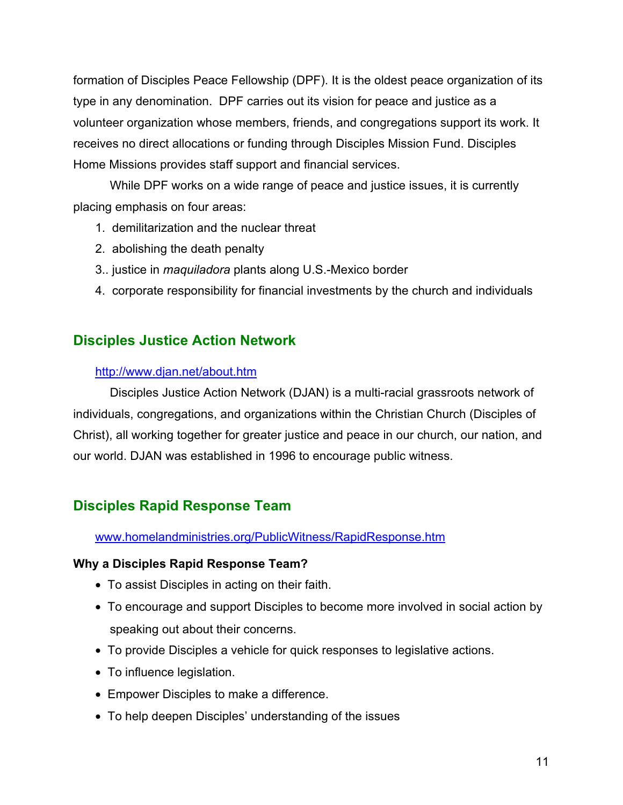<span id="page-10-0"></span>formation of Disciples Peace Fellowship (DPF). It is the oldest peace organization of its type in any denomination. DPF carries out its vision for peace and justice as a volunteer organization whose members, friends, and congregations support its work. It receives no direct allocations or funding through Disciples Mission Fund. Disciples Home Missions provides staff support and financial services.

While DPF works on a wide range of peace and justice issues, it is currently placing emphasis on four areas:

- 1. demilitarization and the nuclear threat
- 2. abolishing the death penalty
- 3.. justice in *maquiladora* plants along U.S.-Mexico border
- 4. corporate responsibility for financial investments by the church and individuals

# **Disciples Justice Action Network**

#### <http://www.djan.net/about.htm>

Disciples Justice Action Network (DJAN) is a multi-racial grassroots network of individuals, congregations, and organizations within the Christian Church (Disciples of Christ), all working together for greater justice and peace in our church, our nation, and our world. DJAN was established in 1996 to encourage public witness.

# **Disciples Rapid Response Team**

### <www.homelandministries.org/PublicWitness/RapidResponse.htm>

#### **Why a Disciples Rapid Response Team?**

- To assist Disciples in acting on their faith.
- To encourage and support Disciples to become more involved in social action by speaking out about their concerns.
- To provide Disciples a vehicle for quick responses to legislative actions.
- To influence legislation.
- Empower Disciples to make a difference.
- To help deepen Disciples' understanding of the issues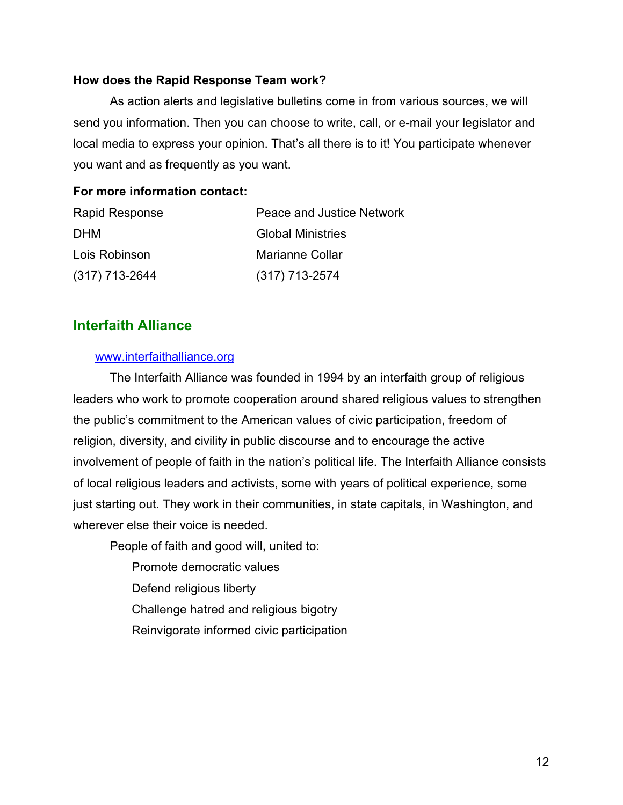#### <span id="page-11-0"></span>**How does the Rapid Response Team work?**

As action alerts and legislative bulletins come in from various sources, we will send you information. Then you can choose to write, call, or e-mail your legislator and local media to express your opinion. That's all there is to it! You participate whenever you want and as frequently as you want.

#### **For more information contact:**

| <b>Rapid Response</b> | Peace and Justice Network |
|-----------------------|---------------------------|
| DHM                   | <b>Global Ministries</b>  |
| Lois Robinson         | <b>Marianne Collar</b>    |
| $(317)$ 713-2644      | $(317)$ 713-2574          |

### **Interfaith Alliance**

#### <www.interfaithalliance.org>

The Interfaith Alliance was founded in 1994 by an interfaith group of religious leaders who work to promote cooperation around shared religious values to strengthen the public's commitment to the American values of civic participation, freedom of religion, diversity, and civility in public discourse and to encourage the active involvement of people of faith in the nation's political life. The Interfaith Alliance consists of local religious leaders and activists, some with years of political experience, some just starting out. They work in their communities, in state capitals, in Washington, and wherever else their voice is needed.

People of faith and good will, united to:

- Promote democratic values
- Defend religious liberty
- Challenge hatred and religious bigotry
- Reinvigorate informed civic participation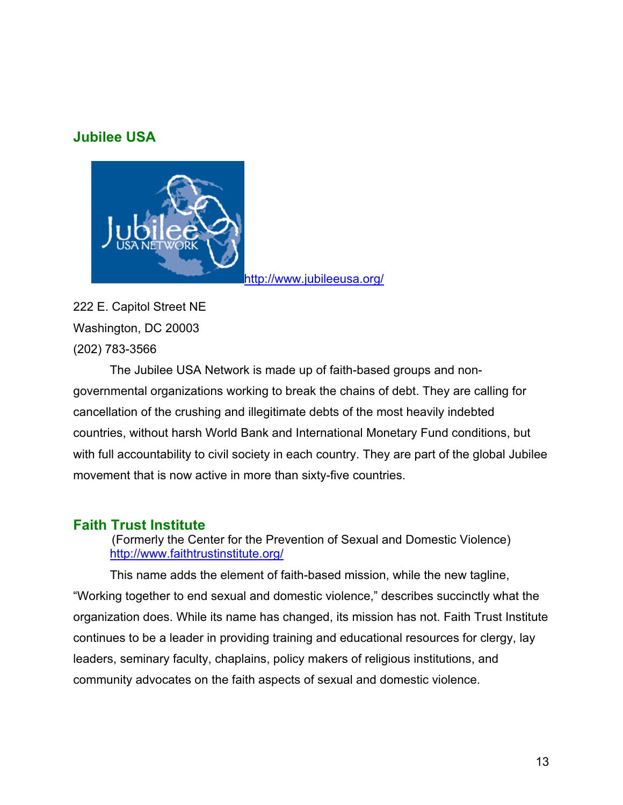### <span id="page-12-0"></span>**Jubilee USA**



222 E. Capitol Street NE Washington, DC 20003 (202) 783-3566

The Jubilee USA Network is made up of faith-based groups and nongovernmental organizations working to break the chains of debt. They are calling for cancellation of the crushing and illegitimate debts of the most heavily indebted countries, without harsh World Bank and International Monetary Fund conditions, but with full accountability to civil society in each country. They are part of the global Jubilee movement that is now active in more than sixty-five countries.

# **Faith Trust Institute**

(Formerly the Center for the Prevention of Sexual and Domestic Violence) <http://www.faithtrustinstitute.org/>

This name adds the element of faith-based mission, while the new tagline, "Working together to end sexual and domestic violence," describes succinctly what the organization does. While its name has changed, its mission has not. Faith Trust Institute continues to be a leader in providing training and educational resources for clergy, lay leaders, seminary faculty, chaplains, policy makers of religious institutions, and community advocates on the faith aspects of sexual and domestic violence.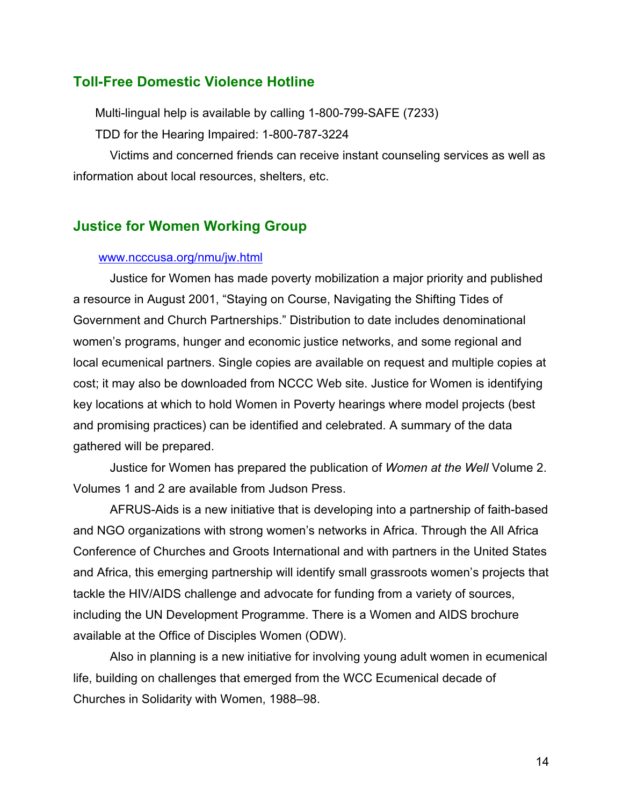### <span id="page-13-0"></span>**Toll-Free Domestic Violence Hotline**

Multi-lingual help is available by calling 1-800-799-SAFE (7233) TDD for the Hearing Impaired: 1-800-787-3224

Victims and concerned friends can receive instant counseling services as well as information about local resources, shelters, etc.

### **Justice for Women Working Group**

#### <www.ncccusa.org/nmu/jw.html>

Justice for Women has made poverty mobilization a major priority and published a resource in August 2001, "Staying on Course, Navigating the Shifting Tides of Government and Church Partnerships." Distribution to date includes denominational women's programs, hunger and economic justice networks, and some regional and local ecumenical partners. Single copies are available on request and multiple copies at cost; it may also be downloaded from NCCC Web site. Justice for Women is identifying key locations at which to hold Women in Poverty hearings where model projects (best and promising practices) can be identified and celebrated. A summary of the data gathered will be prepared.

Justice for Women has prepared the publication of *Women at the Well* Volume 2. Volumes 1 and 2 are available from Judson Press.

AFRUS-Aids is a new initiative that is developing into a partnership of faith-based and NGO organizations with strong women's networks in Africa. Through the All Africa Conference of Churches and Groots International and with partners in the United States and Africa, this emerging partnership will identify small grassroots women's projects that tackle the HIV/AIDS challenge and advocate for funding from a variety of sources, including the UN Development Programme. There is a Women and AIDS brochure available at the Office of Disciples Women (ODW).

Also in planning is a new initiative for involving young adult women in ecumenical life, building on challenges that emerged from the WCC Ecumenical decade of Churches in Solidarity with Women, 1988–98.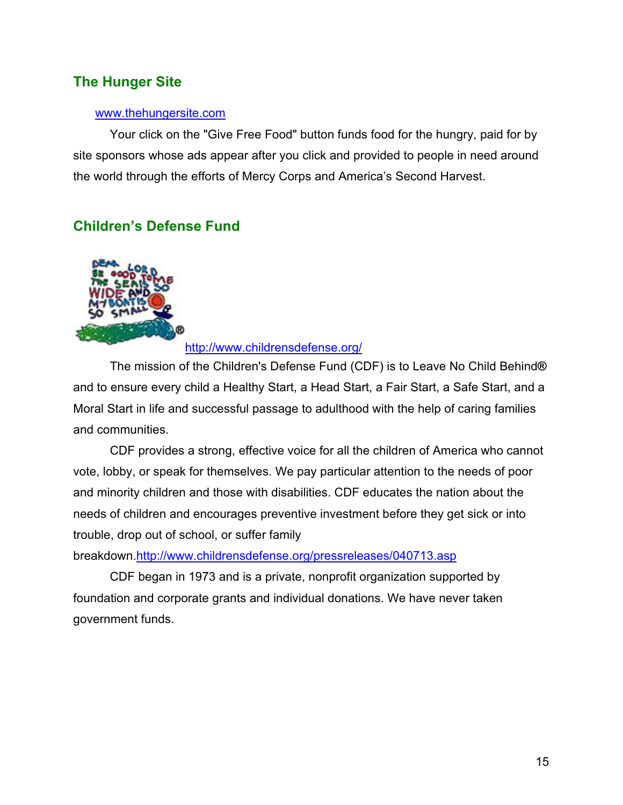# <span id="page-14-0"></span>**The Hunger Site**

#### <www.thehungersite.com>

Your click on the "Give Free Food" button funds food for the hungry, paid for by site sponsors whose ads appear after you click and provided to people in need around the world through the efforts of Mercy Corps and America's Second Harvest.

# **Children's Defense Fund**



<http://www.childrensdefense.org/>

The mission of the Children's Defense Fund (CDF) is to Leave No Child Behind**®** and to ensure every child a Healthy Start, a Head Start, a Fair Start, a Safe Start, and a Moral Start in life and successful passage to adulthood with the help of caring families and communities.

CDF provides a strong, effective voice for all the children of America who cannot vote, lobby, or speak for themselves. We pay particular attention to the needs of poor and minority children and those with disabilities. CDF educates the nation about the needs of children and encourages preventive investment before they get sick or into trouble, drop out of school, or suffer family

breakdown[.http://www.childrensdefense.org/pressreleases/040713.asp](http://www.childrensdefense.org/pressreleases/040713.asp)

CDF began in 1973 and is a private, nonprofit organization supported by foundation and corporate grants and individual donations. We have never taken government funds.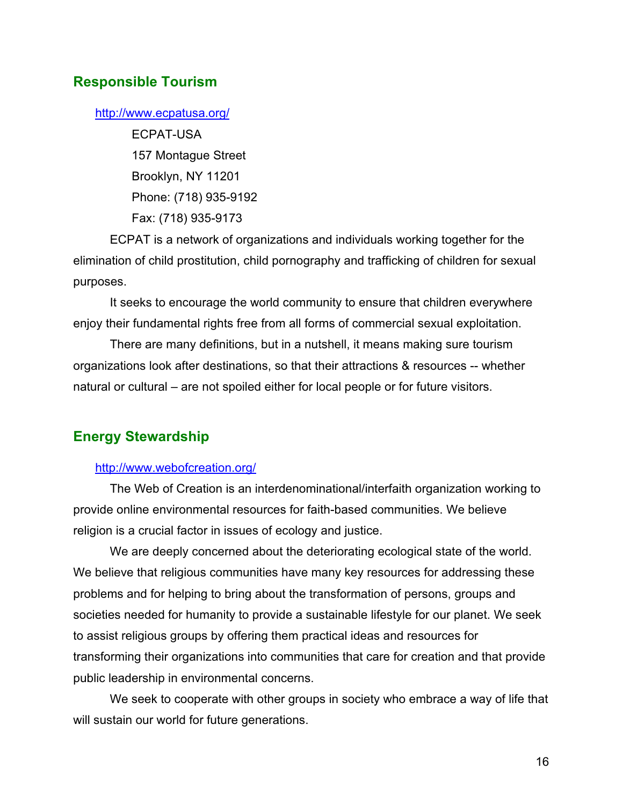### <span id="page-15-0"></span>**Responsible Tourism**

#### <http://www.ecpatusa.org/>

ECPAT-USA 157 Montague Street Brooklyn, NY 11201 Phone: (718) 935-9192 Fax: (718) 935-9173

ECPAT is a network of organizations and individuals working together for the elimination of child prostitution, child pornography and trafficking of children for sexual purposes.

It seeks to encourage the world community to ensure that children everywhere enjoy their fundamental rights free from all forms of commercial sexual exploitation.

There are many definitions, but in a nutshell, it means making sure tourism organizations look after destinations, so that their attractions & resources -- whether natural or cultural – are not spoiled either for local people or for future visitors.

### **Energy Stewardship**

#### <http://www.webofcreation.org/>

The Web of Creation is an interdenominational/interfaith organization working to provide online environmental resources for faith-based communities. We believe religion is a crucial factor in issues of ecology and justice.

We are deeply concerned about the deteriorating ecological state of the world. We believe that religious communities have many key resources for addressing these problems and for helping to bring about the transformation of persons, groups and societies needed for humanity to provide a sustainable lifestyle for our planet. We seek to assist religious groups by offering them practical ideas and resources for transforming their organizations into communities that care for creation and that provide public leadership in environmental concerns.

We seek to cooperate with other groups in society who embrace a way of life that will sustain our world for future generations.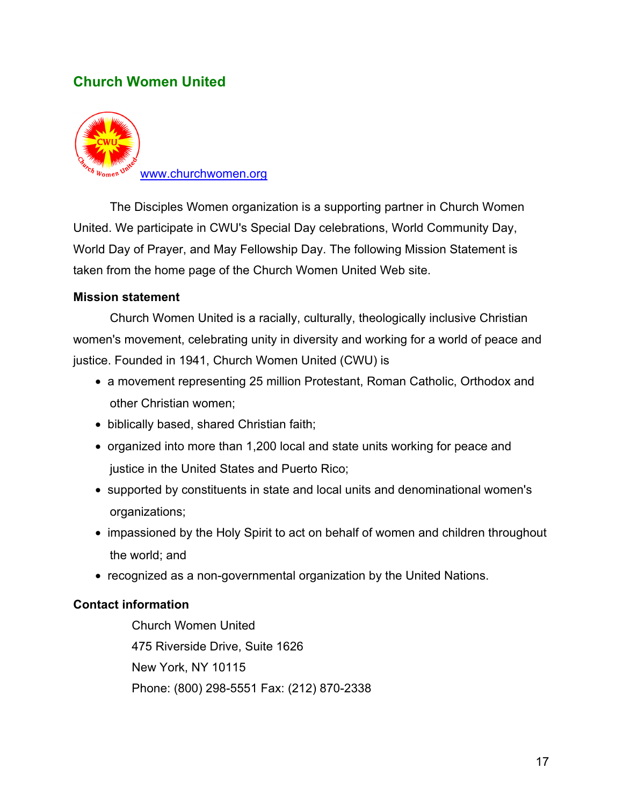# <span id="page-16-0"></span>**Church Women United**



The Disciples Women organization is a supporting partner in Church Women United. We participate in CWU's Special Day celebrations, World Community Day, World Day of Prayer, and May Fellowship Day. The following Mission Statement is taken from the home page of the Church Women United Web site.

#### **Mission statement**

Church Women United is a racially, culturally, theologically inclusive Christian women's movement, celebrating unity in diversity and working for a world of peace and justice. Founded in 1941, Church Women United (CWU) is

- a movement representing 25 million Protestant, Roman Catholic, Orthodox and other Christian women;
- biblically based, shared Christian faith;
- organized into more than 1,200 local and state units working for peace and justice in the United States and Puerto Rico;
- supported by constituents in state and local units and denominational women's organizations;
- impassioned by the Holy Spirit to act on behalf of women and children throughout the world; and
- recognized as a non-governmental organization by the United Nations.

#### **Contact information**

Church Women United 475 Riverside Drive, Suite 1626 New York, NY 10115 Phone: (800) 298-5551 Fax: (212) 870-2338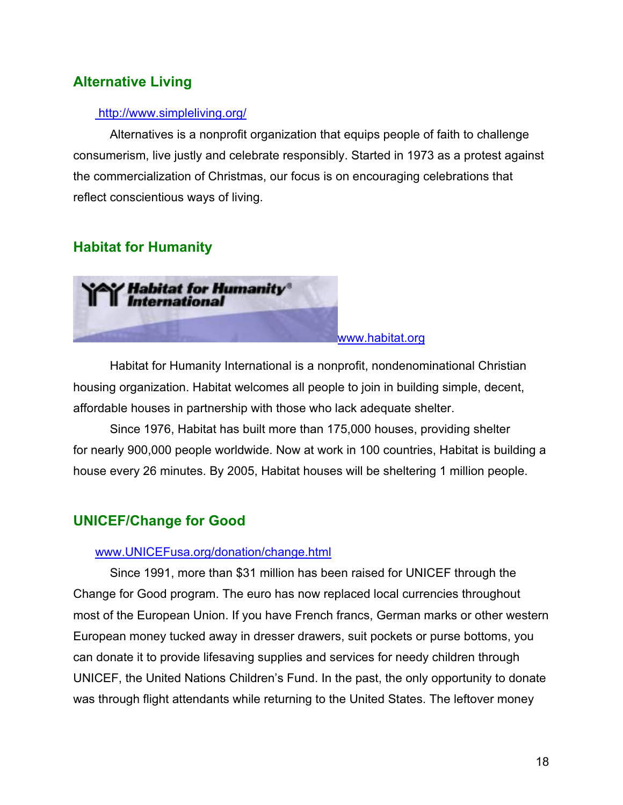# <span id="page-17-0"></span>**Alternative Living**

#### <http://www.simpleliving.org/>

Alternatives is a nonprofit organization that equips people of faith to challenge consumerism, live justly and celebrate responsibly. Started in 1973 as a protest against the commercialization of Christmas, our focus is on encouraging celebrations that reflect conscientious ways of living.

# **Habitat for Humanity**



Habitat for Humanity International is a nonprofit, nondenominational Christian housing organization. Habitat welcomes all people to join in building simple, decent, affordable houses in partnership with those who lack adequate shelter.

Since 1976, Habitat has built more than 175,000 houses, providing shelter for nearly 900,000 people worldwide. Now at work in 100 countries, Habitat is building a house every 26 minutes. By 2005, Habitat houses will be sheltering 1 million people.

### **UNICEF/Change for Good**

#### <www.UNICEFusa.org/donation/change.html>

Since 1991, more than \$31 million has been raised for UNICEF through the Change for Good program. The euro has now replaced local currencies throughout most of the European Union. If you have French francs, German marks or other western European money tucked away in dresser drawers, suit pockets or purse bottoms, you can donate it to provide lifesaving supplies and services for needy children through UNICEF, the United Nations Children's Fund. In the past, the only opportunity to donate was through flight attendants while returning to the United States. The leftover money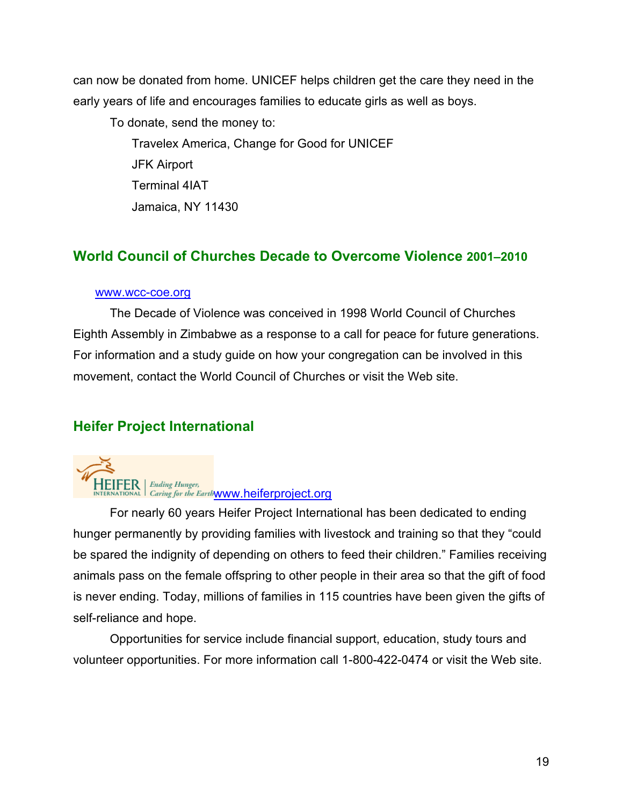<span id="page-18-0"></span>can now be donated from home. UNICEF helps children get the care they need in the early years of life and encourages families to educate girls as well as boys.

To donate, send the money to:

Travelex America, Change for Good for UNICEF JFK Airport Terminal 4IAT Jamaica, NY 11430

# **World Council of Churches Decade to Overcome Violence 2001–2010**

#### <www.wcc-coe.org>

The Decade of Violence was conceived in 1998 World Council of Churches Eighth Assembly in Zimbabwe as a response to a call for peace for future generations. For information and a study guide on how your congregation can be involved in this movement, contact the World Council of Churches or visit the Web site.

# **Heifer Project International**



For nearly 60 years Heifer Project International has been dedicated to ending hunger permanently by providing families with livestock and training so that they "could be spared the indignity of depending on others to feed their children." Families receiving animals pass on the female offspring to other people in their area so that the gift of food is never ending. Today, millions of families in 115 countries have been given the gifts of self-reliance and hope.

Opportunities for service include financial support, education, study tours and volunteer opportunities. For more information call 1-800-422-0474 or visit the Web site.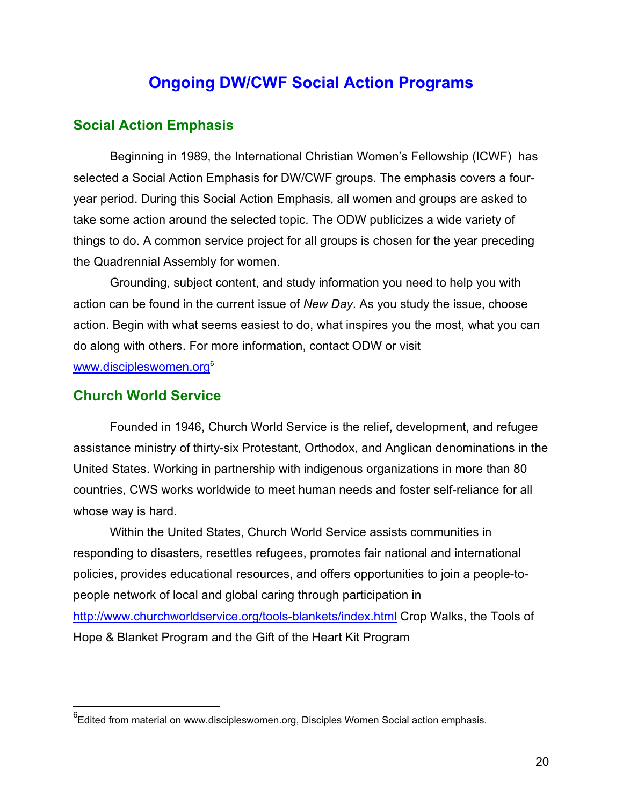# **Ongoing DW/CWF Social Action Programs**

### <span id="page-19-0"></span>**Social Action Emphasis**

Beginning in 1989, the International Christian Women's Fellowship (ICWF) has selected a Social Action Emphasis for DW/CWF groups. The emphasis covers a fouryear period. During this Social Action Emphasis, all women and groups are asked to take some action around the selected topic. The ODW publicizes a wide variety of things to do. A common service project for all groups is chosen for the year preceding the Quadrennial Assembly for women.

Grounding, subject content, and study information you need to help you with action can be found in the current issue of *New Day*. As you study the issue, choose action. Begin with what seems easiest to do, what inspires you the most, what you can do along with others. For more information, contact ODW or visit www.discipleswomen.org<sup>6</sup>

#### **Church World Service**

Founded in 1946, Church World Service is the relief, development, and refugee assistance ministry of thirty-six Protestant, Orthodox, and Anglican denominations in the United States. Working in partnership with indigenous organizations in more than 80 countries, CWS works worldwide to meet human needs and foster self-reliance for all whose way is hard.

Within the United States, Church World Service assists communities in responding to disasters, resettles refugees, promotes fair national and international policies, provides educational resources, and offers opportunities to join a people-topeople network of local and global caring through participation in <http://www.churchworldservice.org/tools-blankets/index.html> Crop Walks, the Tools of Hope & Blanket Program and the Gift of the Heart Kit Program

 <sup>6</sup> Edited from material on www.discipleswomen.org, Disciples Women Social action emphasis.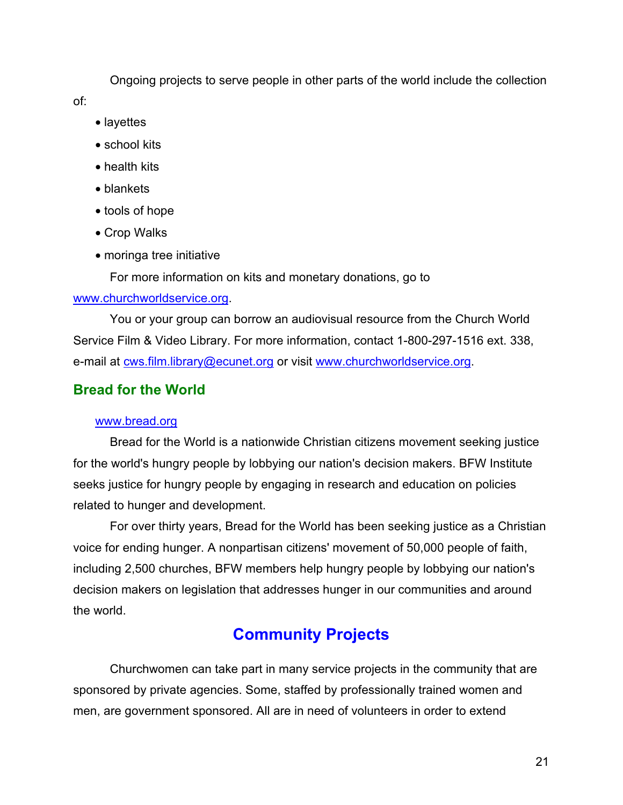<span id="page-20-0"></span>Ongoing projects to serve people in other parts of the world include the collection

of:

- layettes
- school kits
- health kits
- blankets
- tools of hope
- Crop Walks
- moringa tree initiative

For more information on kits and monetary donations, go to

### [www.churchworldservice.org.](www.churchworldservice.org)

You or your group can borrow an audiovisual resource from the Church World Service Film & Video Library. For more information, contact 1-800-297-1516 ext. 338, e-mail at<cws.film.library@ecunet.org> or visit [www.churchworldservice.org.](www.churchworldservice.org)

# **Bread for the World**

### <www.bread.org>

Bread for the World is a nationwide Christian citizens movement seeking justice for the world's hungry people by lobbying our nation's decision makers. BFW Institute seeks justice for hungry people by engaging in research and education on policies related to hunger and development.

For over thirty years, Bread for the World has been seeking justice as a Christian voice for ending hunger. A nonpartisan citizens' movement of 50,000 people of faith, including 2,500 churches, BFW members help hungry people by lobbying our nation's decision makers on legislation that addresses hunger in our communities and around the world.

# **Community Projects**

Churchwomen can take part in many service projects in the community that are sponsored by private agencies. Some, staffed by professionally trained women and men, are government sponsored. All are in need of volunteers in order to extend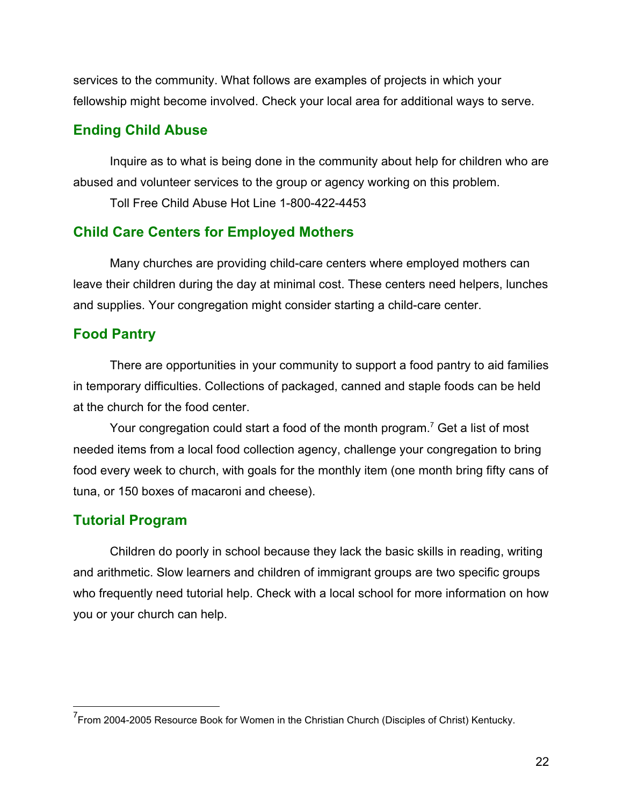<span id="page-21-0"></span>services to the community. What follows are examples of projects in which your fellowship might become involved. Check your local area for additional ways to serve.

### **Ending Child Abuse**

Inquire as to what is being done in the community about help for children who are abused and volunteer services to the group or agency working on this problem.

Toll Free Child Abuse Hot Line 1-800-422-4453

### **Child Care Centers for Employed Mothers**

Many churches are providing child-care centers where employed mothers can leave their children during the day at minimal cost. These centers need helpers, lunches and supplies. Your congregation might consider starting a child-care center.

### **Food Pantry**

There are opportunities in your community to support a food pantry to aid families in temporary difficulties. Collections of packaged, canned and staple foods can be held at the church for the food center.

Your congregation could start a food of the month program.<sup>7</sup> Get a list of most needed items from a local food collection agency, challenge your congregation to bring food every week to church, with goals for the monthly item (one month bring fifty cans of tuna, or 150 boxes of macaroni and cheese).

### **Tutorial Program**

Children do poorly in school because they lack the basic skills in reading, writing and arithmetic. Slow learners and children of immigrant groups are two specific groups who frequently need tutorial help. Check with a local school for more information on how you or your church can help.

<sup>————————————————————&</sup>lt;br><sup>7</sup> From 2004-2005 Resource Book for Women in the Christian Church (Disciples of Christ) Kentucky.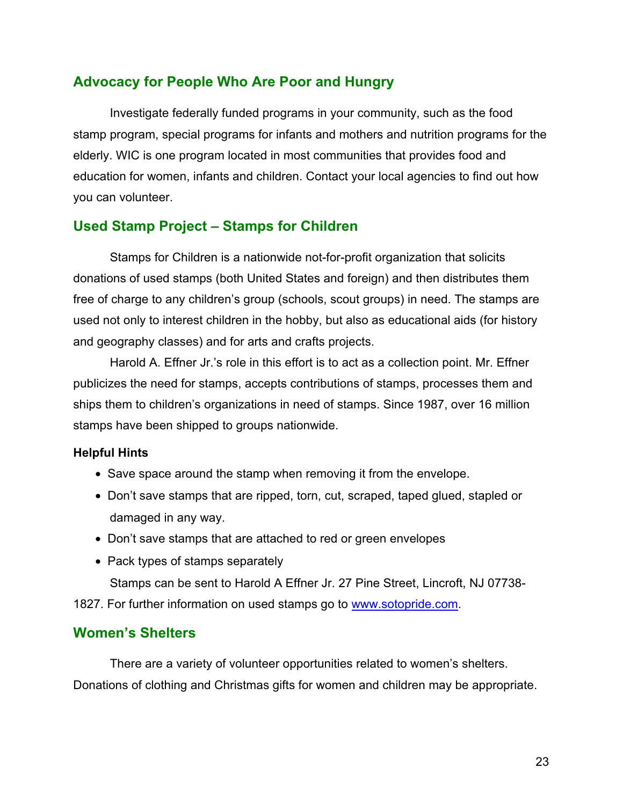### <span id="page-22-0"></span>**Advocacy for People Who Are Poor and Hungry**

Investigate federally funded programs in your community, such as the food stamp program, special programs for infants and mothers and nutrition programs for the elderly. WIC is one program located in most communities that provides food and education for women, infants and children. Contact your local agencies to find out how you can volunteer.

### **Used Stamp Project – Stamps for Children**

Stamps for Children is a nationwide not-for-profit organization that solicits donations of used stamps (both United States and foreign) and then distributes them free of charge to any children's group (schools, scout groups) in need. The stamps are used not only to interest children in the hobby, but also as educational aids (for history and geography classes) and for arts and crafts projects.

Harold A. Effner Jr.'s role in this effort is to act as a collection point. Mr. Effner publicizes the need for stamps, accepts contributions of stamps, processes them and ships them to children's organizations in need of stamps. Since 1987, over 16 million stamps have been shipped to groups nationwide.

#### **Helpful Hints**

- Save space around the stamp when removing it from the envelope.
- Don't save stamps that are ripped, torn, cut, scraped, taped glued, stapled or damaged in any way.
- Don't save stamps that are attached to red or green envelopes
- Pack types of stamps separately

Stamps can be sent to Harold A Effner Jr. 27 Pine Street, Lincroft, NJ 07738- 1827. For further information on used stamps go to [www.sotopride.com.](www.sotopride.com)

### **Women's Shelters**

There are a variety of volunteer opportunities related to women's shelters. Donations of clothing and Christmas gifts for women and children may be appropriate.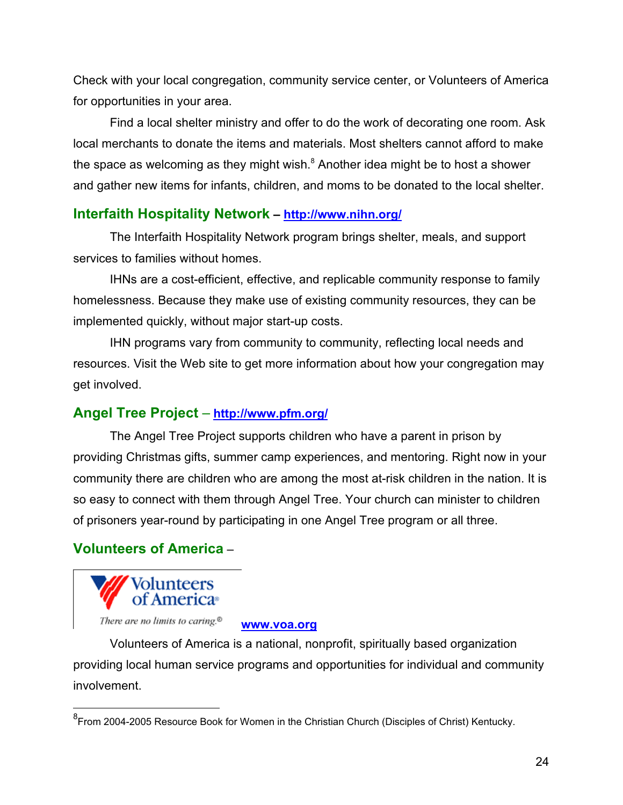<span id="page-23-0"></span>Check with your local congregation, community service center, or Volunteers of America for opportunities in your area.

Find a local shelter ministry and offer to do the work of decorating one room. Ask local merchants to donate the items and materials. Most shelters cannot afford to make the space as welcoming as they might wish. $^8$  Another idea might be to host a shower and gather new items for infants, children, and moms to be donated to the local shelter.

### **Interfaith Hospitality Network – <http://www.nihn.org/>**

The Interfaith Hospitality Network program brings shelter, meals, and support services to families without homes.

IHNs are a cost-efficient, effective, and replicable community response to family homelessness. Because they make use of existing community resources, they can be implemented quickly, without major start-up costs.

IHN programs vary from community to community, reflecting local needs and resources. Visit the Web site to get more information about how your congregation may get involved.

# **Angel Tree Project** – **<http://www.pfm.org/>**

The Angel Tree Project supports children who have a parent in prison by providing Christmas gifts, summer camp experiences, and mentoring. Right now in your community there are children who are among the most at-risk children in the nation. It is so easy to connect with them through Angel Tree. Your church can minister to children of prisoners year-round by participating in one Angel Tree program or all three.

# **Volunteers of America** –



**<www.voa.org>**

Volunteers of America is a national, nonprofit, spiritually based organization providing local human service programs and opportunities for individual and community involvement.

\_\_\_\_\_\_\_\_\_\_\_\_\_\_\_\_\_\_\_\_\_\_\_\_\_\_\_\_\_\_\_\_\_\_<br><sup>8</sup>From 2004-2005 Resource Book for Women in the Christian Church (Disciples of Christ) Kentucky.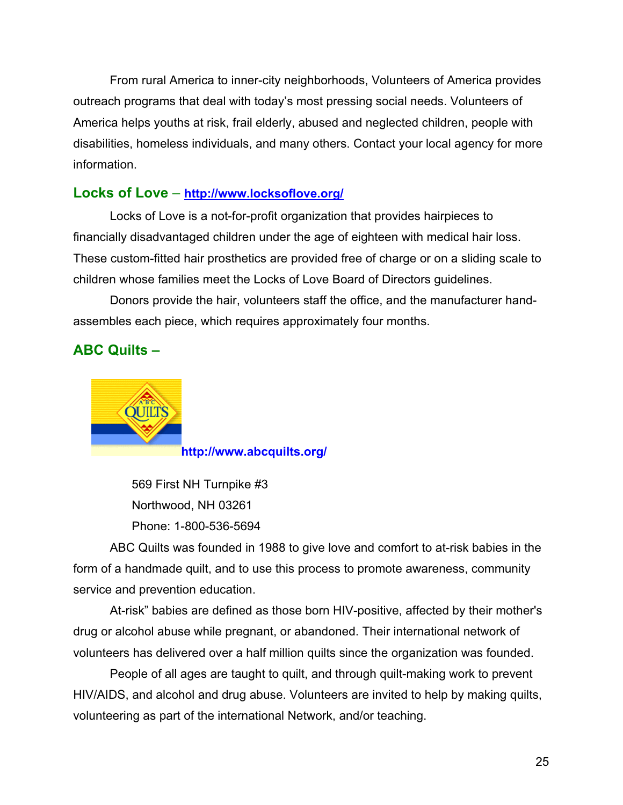<span id="page-24-0"></span>From rural America to inner-city neighborhoods, Volunteers of America provides outreach programs that deal with today's most pressing social needs. Volunteers of America helps youths at risk, frail elderly, abused and neglected children, people with disabilities, homeless individuals, and many others. Contact your local agency for more information.

### **Locks of Love** – **<http://www.locksoflove.org/>**

Locks of Love is a not-for-profit organization that provides hairpieces to financially disadvantaged children under the age of eighteen with medical hair loss. These custom-fitted hair prosthetics are provided free of charge or on a sliding scale to children whose families meet the Locks of Love Board of Directors guidelines.

Donors provide the hair, volunteers staff the office, and the manufacturer handassembles each piece, which requires approximately four months.

### **ABC Quilts –**



**<http://www.abcquilts.org/>**

569 First NH Turnpike #3 Northwood, NH 03261 Phone: 1-800-536-5694

ABC Quilts was founded in 1988 to give love and comfort to at-risk babies in the form of a handmade quilt, and to use this process to promote awareness, community service and prevention education.

At-risk" babies are defined as those born HIV-positive, affected by their mother's drug or alcohol abuse while pregnant, or abandoned. Their international network of volunteers has delivered over a half million quilts since the organization was founded.

People of all ages are taught to quilt, and through quilt-making work to prevent HIV/AIDS, and alcohol and drug abuse. Volunteers are invited to help by making quilts, volunteering as part of the international Network, and/or teaching.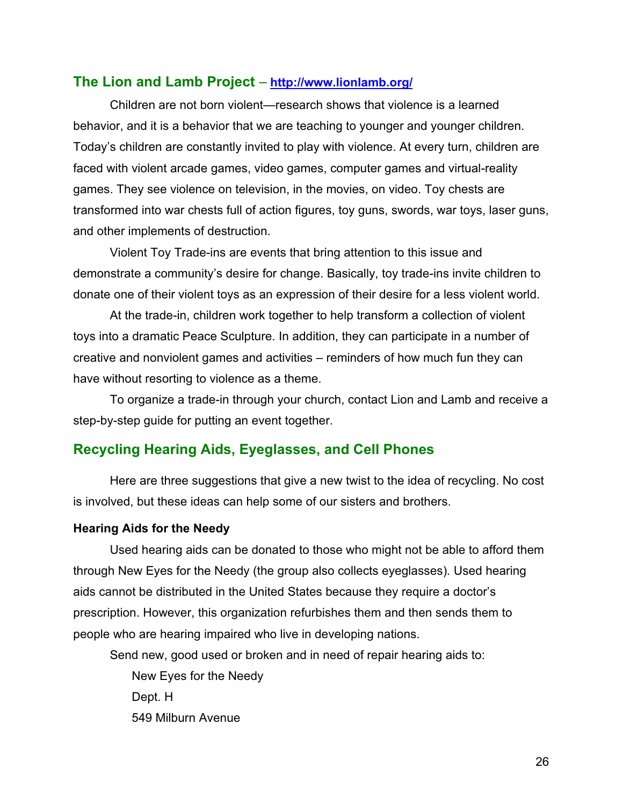#### <span id="page-25-0"></span>**The Lion and Lamb Project** – **<http://www.lionlamb.org/>**

Children are not born violent—research shows that violence is a learned behavior, and it is a behavior that we are teaching to younger and younger children. Today's children are constantly invited to play with violence. At every turn, children are faced with violent arcade games, video games, computer games and virtual-reality games. They see violence on television, in the movies, on video. Toy chests are transformed into war chests full of action figures, toy guns, swords, war toys, laser guns, and other implements of destruction.

Violent Toy Trade-ins are events that bring attention to this issue and demonstrate a community's desire for change. Basically, toy trade-ins invite children to donate one of their violent toys as an expression of their desire for a less violent world.

At the trade-in, children work together to help transform a collection of violent toys into a dramatic Peace Sculpture. In addition, they can participate in a number of creative and nonviolent games and activities – reminders of how much fun they can have without resorting to violence as a theme.

To organize a trade-in through your church, contact Lion and Lamb and receive a step-by-step guide for putting an event together.

### **Recycling Hearing Aids, Eyeglasses, and Cell Phones**

Here are three suggestions that give a new twist to the idea of recycling. No cost is involved, but these ideas can help some of our sisters and brothers.

#### **Hearing Aids for the Needy**

Used hearing aids can be donated to those who might not be able to afford them through New Eyes for the Needy (the group also collects eyeglasses)*.* Used hearing aids cannot be distributed in the United States because they require a doctor's prescription. However, this organization refurbishes them and then sends them to people who are hearing impaired who live in developing nations.

Send new, good used or broken and in need of repair hearing aids to:

New Eyes for the Needy Dept. H 549 Milburn Avenue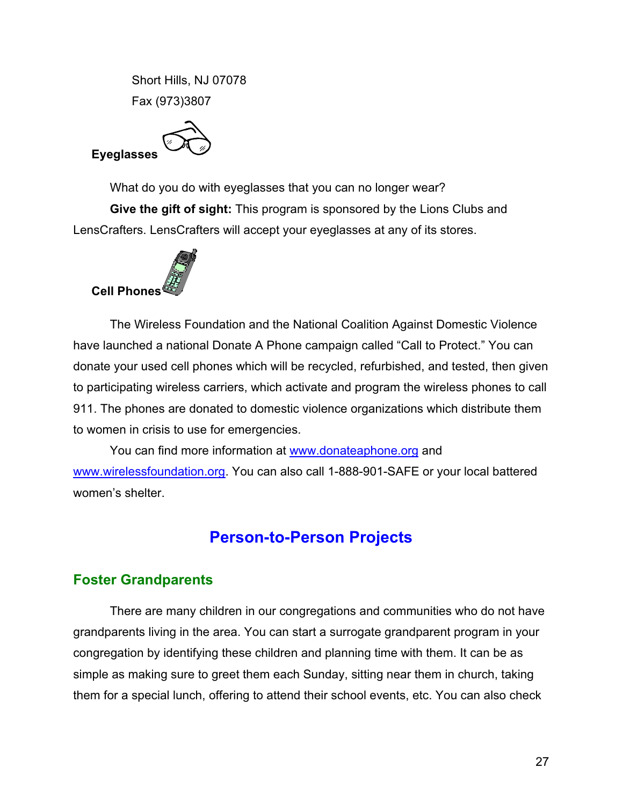Short Hills, NJ 07078 Fax (973)3807

<span id="page-26-0"></span>

What do you do with eyeglasses that you can no longer wear? **Give the gift of sight:** This program is sponsored by the Lions Clubs and LensCrafters. LensCrafters will accept your eyeglasses at any of its stores.



The Wireless Foundation and the National Coalition Against Domestic Violence have launched a national Donate A Phone campaign called "Call to Protect." You can donate your used cell phones which will be recycled, refurbished, and tested, then given to participating wireless carriers, which activate and program the wireless phones to call 911. The phones are donated to domestic violence organizations which distribute them to women in crisis to use for emergencies.

You can find more information at <www.donateaphone.org> and [www.wirelessfoundation.org.](www.wirelessfoundation.org) You can also call 1-888-901-SAFE or your local battered women's shelter.

# **Person-to-Person Projects**

# **Foster Grandparents**

There are many children in our congregations and communities who do not have grandparents living in the area. You can start a surrogate grandparent program in your congregation by identifying these children and planning time with them. It can be as simple as making sure to greet them each Sunday, sitting near them in church, taking them for a special lunch, offering to attend their school events, etc. You can also check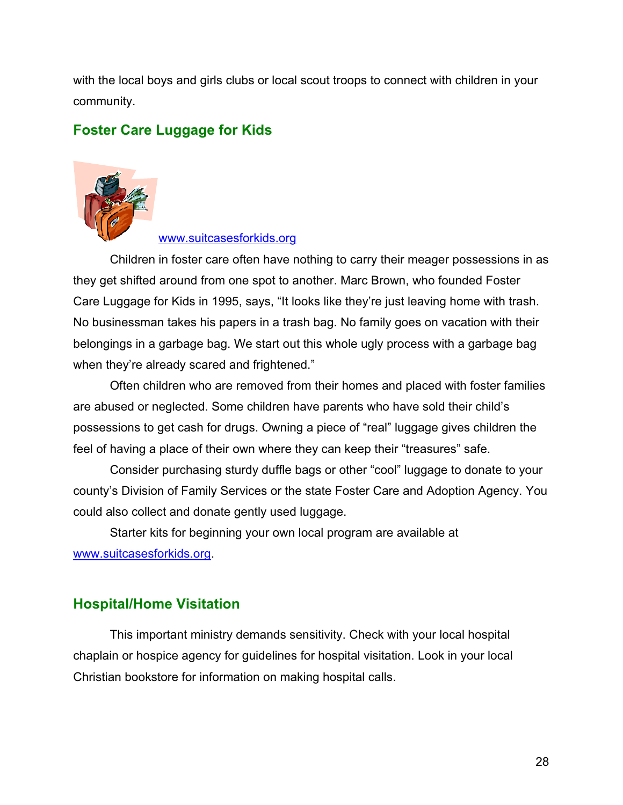<span id="page-27-0"></span>with the local boys and girls clubs or local scout troops to connect with children in your community.

# **Foster Care Luggage for Kids**



#### <www.suitcasesforkids.org>

Children in foster care often have nothing to carry their meager possessions in as they get shifted around from one spot to another. Marc Brown, who founded Foster Care Luggage for Kids in 1995, says, "It looks like they're just leaving home with trash. No businessman takes his papers in a trash bag. No family goes on vacation with their belongings in a garbage bag. We start out this whole ugly process with a garbage bag when they're already scared and frightened."

Often children who are removed from their homes and placed with foster families are abused or neglected. Some children have parents who have sold their child's possessions to get cash for drugs. Owning a piece of "real" luggage gives children the feel of having a place of their own where they can keep their "treasures" safe.

Consider purchasing sturdy duffle bags or other "cool" luggage to donate to your county's Division of Family Services or the state Foster Care and Adoption Agency. You could also collect and donate gently used luggage.

Starter kits for beginning your own local program are available at [www.suitcasesforkids.org.](www.suitcasesforkids.org)

### **Hospital/Home Visitation**

This important ministry demands sensitivity. Check with your local hospital chaplain or hospice agency for guidelines for hospital visitation. Look in your local Christian bookstore for information on making hospital calls.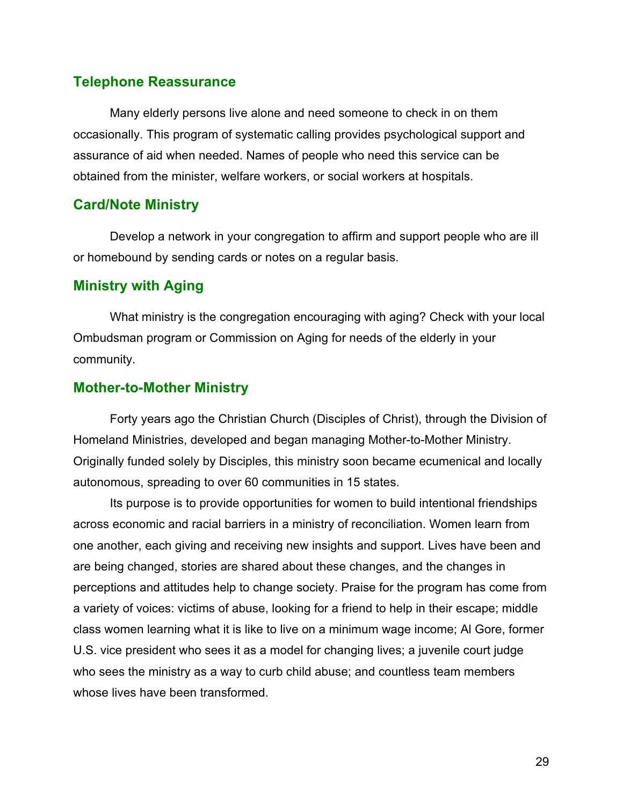### <span id="page-28-0"></span>**Telephone Reassurance**

Many elderly persons live alone and need someone to check in on them occasionally. This program of systematic calling provides psychological support and assurance of aid when needed. Names of people who need this service can be obtained from the minister, welfare workers, or social workers at hospitals.

### **Card/Note Ministry**

Develop a network in your congregation to affirm and support people who are ill or homebound by sending cards or notes on a regular basis.

#### **Ministry with Aging**

What ministry is the congregation encouraging with aging? Check with your local Ombudsman program or Commission on Aging for needs of the elderly in your community.

#### **Mother-to-Mother Ministry**

Forty years ago the Christian Church (Disciples of Christ), through the Division of Homeland Ministries, developed and began managing Mother-to-Mother Ministry. Originally funded solely by Disciples, this ministry soon became ecumenical and locally autonomous, spreading to over 60 communities in 15 states.

Its purpose is to provide opportunities for women to build intentional friendships across economic and racial barriers in a ministry of reconciliation. Women learn from one another, each giving and receiving new insights and support. Lives have been and are being changed, stories are shared about these changes, and the changes in perceptions and attitudes help to change society. Praise for the program has come from a variety of voices: victims of abuse, looking for a friend to help in their escape; middle class women learning what it is like to live on a minimum wage income; Al Gore, former U.S. vice president who sees it as a model for changing lives; a juvenile court judge who sees the ministry as a way to curb child abuse; and countless team members whose lives have been transformed.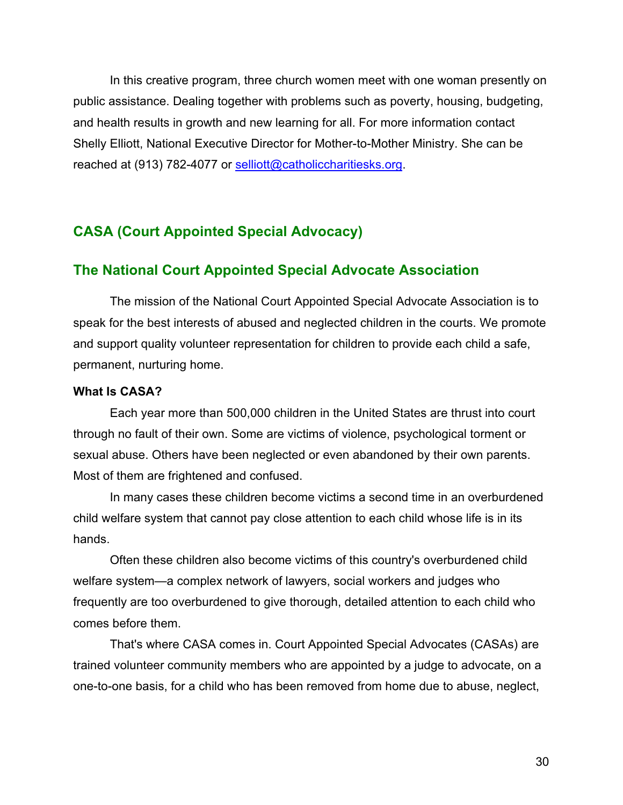<span id="page-29-0"></span>In this creative program, three church women meet with one woman presently on public assistance. Dealing together with problems such as poverty, housing, budgeting, and health results in growth and new learning for all. For more information contact Shelly Elliott, National Executive Director for Mother-to-Mother Ministry. She can be reached at (913) 782-4077 or [selliott@catholiccharitiesks.org.](selliott@catholiccharitiesks.org)

### **CASA (Court Appointed Special Advocacy)**

#### **The National Court Appointed Special Advocate Association**

The mission of the National Court Appointed Special Advocate Association is to speak for the best interests of abused and neglected children in the courts. We promote and support quality volunteer representation for children to provide each child a safe, permanent, nurturing home.

#### **What Is CASA?**

Each year more than 500,000 children in the United States are thrust into court through no fault of their own. Some are victims of violence, psychological torment or sexual abuse. Others have been neglected or even abandoned by their own parents. Most of them are frightened and confused.

In many cases these children become victims a second time in an overburdened child welfare system that cannot pay close attention to each child whose life is in its hands.

Often these children also become victims of this country's overburdened child welfare system—a complex network of lawyers, social workers and judges who frequently are too overburdened to give thorough, detailed attention to each child who comes before them.

That's where CASA comes in. Court Appointed Special Advocates (CASAs) are trained volunteer community members who are appointed by a judge to advocate, on a one-to-one basis, for a child who has been removed from home due to abuse, neglect,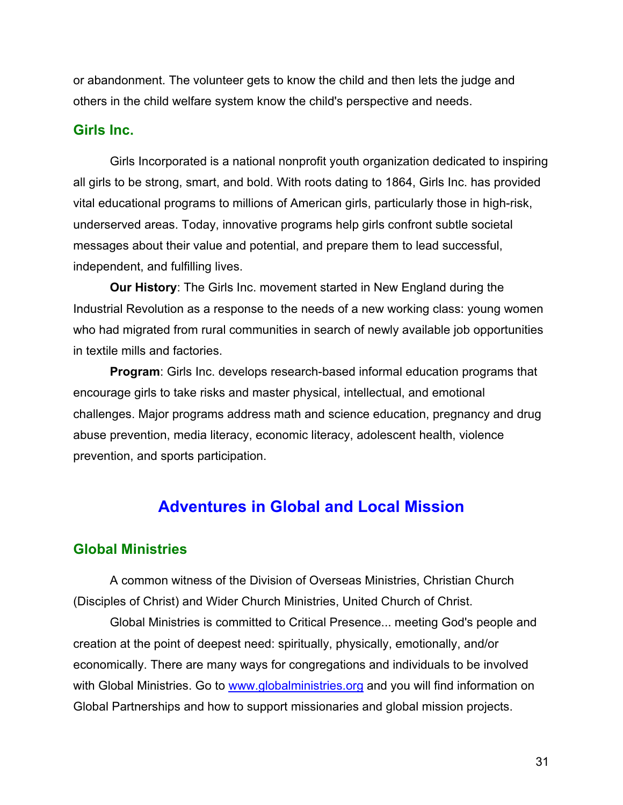<span id="page-30-0"></span>or abandonment. The volunteer gets to know the child and then lets the judge and others in the child welfare system know the child's perspective and needs.

#### **Girls Inc.**

Girls Incorporated is a national nonprofit youth organization dedicated to inspiring all girls to be strong, smart, and bold. With roots dating to 1864, Girls Inc. has provided vital educational programs to millions of American girls, particularly those in high-risk, underserved areas. Today, innovative programs help girls confront subtle societal messages about their value and potential, and prepare them to lead successful, independent, and fulfilling lives.

**Our History**: The Girls Inc. movement started in New England during the Industrial Revolution as a response to the needs of a new working class: young women who had migrated from rural communities in search of newly available job opportunities in textile mills and factories.

**Program**: Girls Inc. develops research-based informal education programs that encourage girls to take risks and master physical, intellectual, and emotional challenges. Major programs address math and science education, pregnancy and drug abuse prevention, media literacy, economic literacy, adolescent health, violence prevention, and sports participation.

# **Adventures in Global and Local Mission**

### **Global Ministries**

A common witness of the Division of Overseas Ministries, Christian Church (Disciples of Christ) and Wider Church Ministries, United Church of Christ.

Global Ministries is committed to Critical Presence... meeting God's people and creation at the point of deepest need: spiritually, physically, emotionally, and/or economically. There are many ways for congregations and individuals to be involved with Global Ministries. Go to <www.globalministries.org> and you will find information on Global Partnerships and how to support missionaries and global mission projects.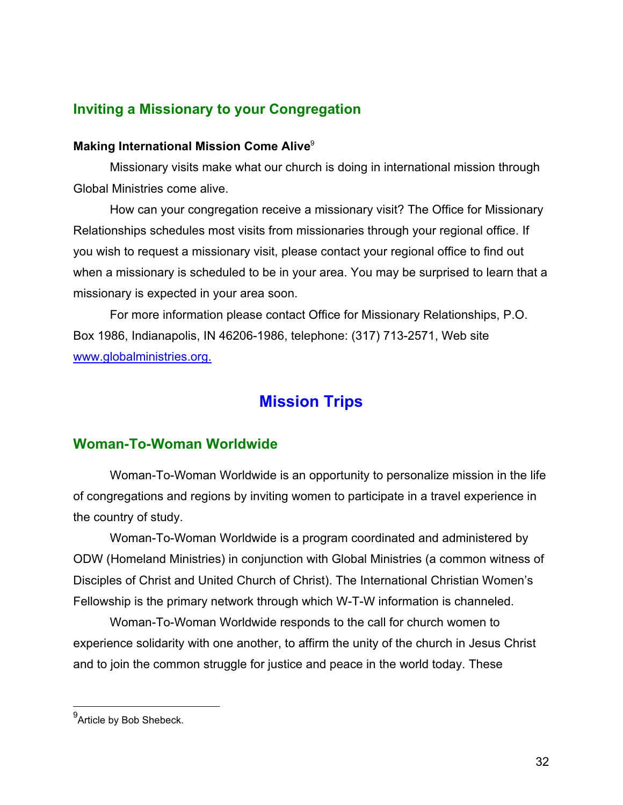### <span id="page-31-0"></span>**Inviting a Missionary to your Congregation**

#### **Making International Mission Come Alive**<sup>9</sup>

Missionary visits make what our church is doing in international mission through Global Ministries come alive.

How can your congregation receive a missionary visit? The Office for Missionary Relationships schedules most visits from missionaries through your regional office. If you wish to request a missionary visit, please contact your regional office to find out when a missionary is scheduled to be in your area. You may be surprised to learn that a missionary is expected in your area soon.

For more information please contact Office for Missionary Relationships, P.O. Box 1986, Indianapolis, IN 46206-1986, telephone: (317) 713-2571, Web site [www.globalministries.org.](www.globalministries.org)

# **Mission Trips**

### **Woman-To-Woman Worldwide**

Woman-To-Woman Worldwide is an opportunity to personalize mission in the life of congregations and regions by inviting women to participate in a travel experience in the country of study.

Woman-To-Woman Worldwide is a program coordinated and administered by ODW (Homeland Ministries) in conjunction with Global Ministries (a common witness of Disciples of Christ and United Church of Christ). The International Christian Women's Fellowship is the primary network through which W-T-W information is channeled.

Woman-To-Woman Worldwide responds to the call for church women to experience solidarity with one another, to affirm the unity of the church in Jesus Christ and to join the common struggle for justice and peace in the world today. These

<sup>&</sup>lt;sub>9</sub><br><sup>9</sup>Article by Bob Shebeck.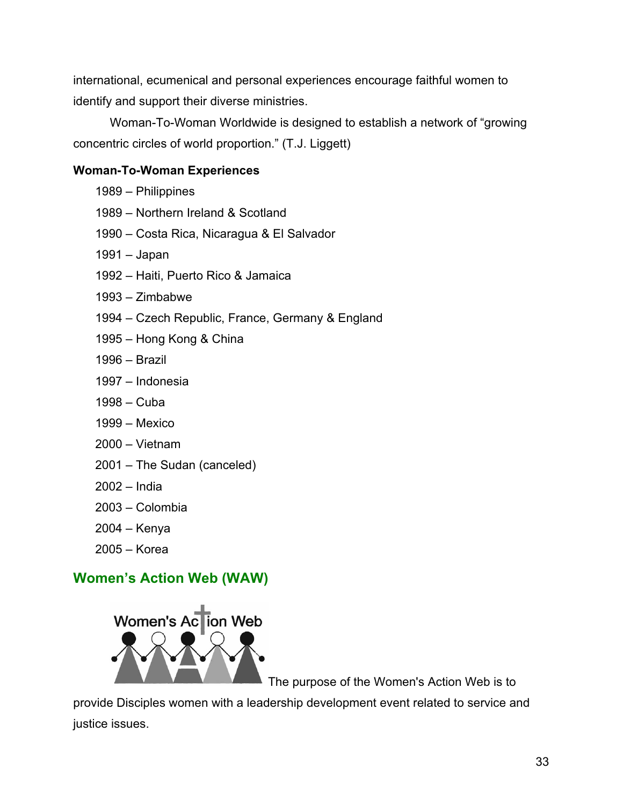<span id="page-32-0"></span>international, ecumenical and personal experiences encourage faithful women to identify and support their diverse ministries.

Woman-To-Woman Worldwide is designed to establish a network of "growing concentric circles of world proportion." (T.J. Liggett)

### **Woman-To-Woman Experiences**

- 1989 Philippines
- 1989 Northern Ireland & Scotland
- 1990 Costa Rica, Nicaragua & El Salvador
- 1991 Japan
- 1992 Haiti, Puerto Rico & Jamaica
- 1993 Zimbabwe
- 1994 Czech Republic, France, Germany & England
- 1995 Hong Kong & China
- 1996 Brazil
- 1997 Indonesia
- 1998 Cuba
- 1999 Mexico
- 2000 Vietnam
- 2001 The Sudan (canceled)
- 2002 India
- 2003 Colombia
- 2004 Kenya
- 2005 Korea

# **Women's Action Web (WAW)**



The purpose of the Women's Action Web is to

provide Disciples women with a leadership development event related to service and justice issues.